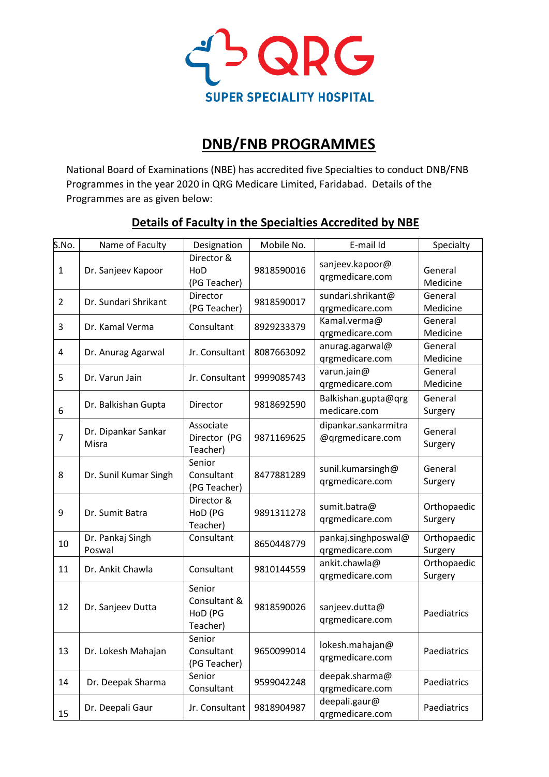

# **DNB/FNB PROGRAMMES**

National Board of Examinations (NBE) has accredited five Specialties to conduct DNB/FNB Programmes in the year 2020 in QRG Medicare Limited, Faridabad. Details of the Programmes are as given below:

| S.No.          | Name of Faculty              | Designation                                   | Mobile No. | E-mail Id                                | Specialty              |
|----------------|------------------------------|-----------------------------------------------|------------|------------------------------------------|------------------------|
| 1              | Dr. Sanjeev Kapoor           | Director &<br>HoD<br>(PG Teacher)             | 9818590016 | sanjeev.kapoor@<br>qrgmedicare.com       | General<br>Medicine    |
| $\overline{2}$ | Dr. Sundari Shrikant         | Director<br>(PG Teacher)                      | 9818590017 | sundari.shrikant@<br>qrgmedicare.com     | General<br>Medicine    |
| 3              | Dr. Kamal Verma              | Consultant                                    | 8929233379 | Kamal.verma@<br>qrgmedicare.com          | General<br>Medicine    |
| 4              | Dr. Anurag Agarwal           | Jr. Consultant                                | 8087663092 | anurag.agarwal@<br>qrgmedicare.com       | General<br>Medicine    |
| 5              | Dr. Varun Jain               | Jr. Consultant                                | 9999085743 | varun.jain@<br>qrgmedicare.com           | General<br>Medicine    |
| 6              | Dr. Balkishan Gupta          | Director                                      | 9818692590 | Balkishan.gupta@qrg<br>medicare.com      | General<br>Surgery     |
| $\overline{7}$ | Dr. Dipankar Sankar<br>Misra | Associate<br>Director (PG<br>Teacher)         | 9871169625 | dipankar.sankarmitra<br>@qrgmedicare.com | General<br>Surgery     |
| 8              | Dr. Sunil Kumar Singh        | Senior<br>Consultant<br>(PG Teacher)          | 8477881289 | sunil.kumarsingh@<br>qrgmedicare.com     | General<br>Surgery     |
| 9              | Dr. Sumit Batra              | Director &<br>HoD (PG<br>Teacher)             | 9891311278 | sumit.batra@<br>qrgmedicare.com          | Orthopaedic<br>Surgery |
| 10             | Dr. Pankaj Singh<br>Poswal   | Consultant                                    | 8650448779 | pankaj.singhposwal@<br>qrgmedicare.com   | Orthopaedic<br>Surgery |
| 11             | Dr. Ankit Chawla             | Consultant                                    | 9810144559 | ankit.chawla@<br>qrgmedicare.com         | Orthopaedic<br>Surgery |
| 12             | Dr. Sanjeev Dutta            | Senior<br>Consultant &<br>HoD (PG<br>Teacher) | 9818590026 | sanjeev.dutta@<br>qrgmedicare.com        | Paediatrics            |
| 13             | Dr. Lokesh Mahajan           | Senior<br>Consultant<br>(PG Teacher)          | 9650099014 | lokesh.mahajan@<br>qrgmedicare.com       | Paediatrics            |
| 14             | Dr. Deepak Sharma            | Senior<br>Consultant                          | 9599042248 | deepak.sharma@<br>qrgmedicare.com        | Paediatrics            |
| 15             | Dr. Deepali Gaur             | Jr. Consultant                                | 9818904987 | deepali.gaur@<br>qrgmedicare.com         | Paediatrics            |

### **Details of Faculty in the Specialties Accredited by NBE**